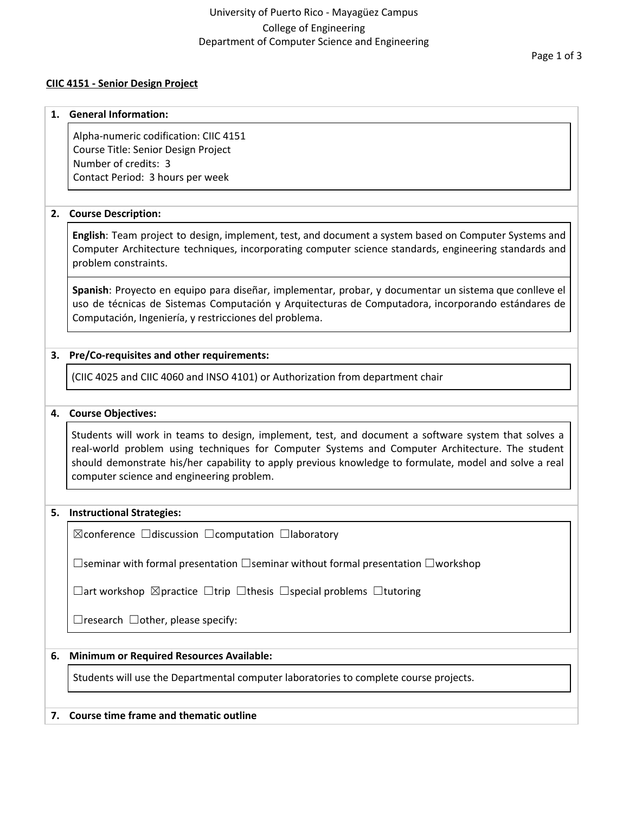## University of Puerto Rico - Mayagüez Campus College of Engineering Department of Computer Science and Engineering

## **CIIC 4151 - Senior Design Project**

#### **1. General Information:**

Alpha-numeric codification: CIIC 4151 Course Title: Senior Design Project Number of credits: 3 Contact Period: 3 hours per week

## **2. Course Description:**

**English**: Team project to design, implement, test, and document a system based on Computer Systems and Computer Architecture techniques, incorporating computer science standards, engineering standards and problem constraints.

**Spanish**: Proyecto en equipo para diseñar, implementar, probar, y documentar un sistema que conlleve el uso de técnicas de Sistemas Computación y Arquitecturas de Computadora, incorporando estándares de Computación, Ingeniería, y restricciones del problema.

## **3. Pre/Co-requisites and other requirements:**

(CIIC 4025 and CIIC 4060 and INSO 4101) or Authorization from department chair

## **4. Course Objectives:**

Students will work in teams to design, implement, test, and document a software system that solves a real-world problem using techniques for Computer Systems and Computer Architecture. The student should demonstrate his/her capability to apply previous knowledge to formulate, model and solve a real computer science and engineering problem.

#### **5. Instructional Strategies:**

☒conference ☐discussion ☐computation ☐laboratory

☐seminar with formal presentation ☐seminar without formal presentation ☐workshop

☐art workshop ☒practice ☐trip ☐thesis ☐special problems ☐tutoring

 $\Box$ research  $\Box$ other, please specify:

## **6. Minimum or Required Resources Available:**

Students will use the Departmental computer laboratories to complete course projects.

#### **7. Course time frame and thematic outline**

Page 1 of 3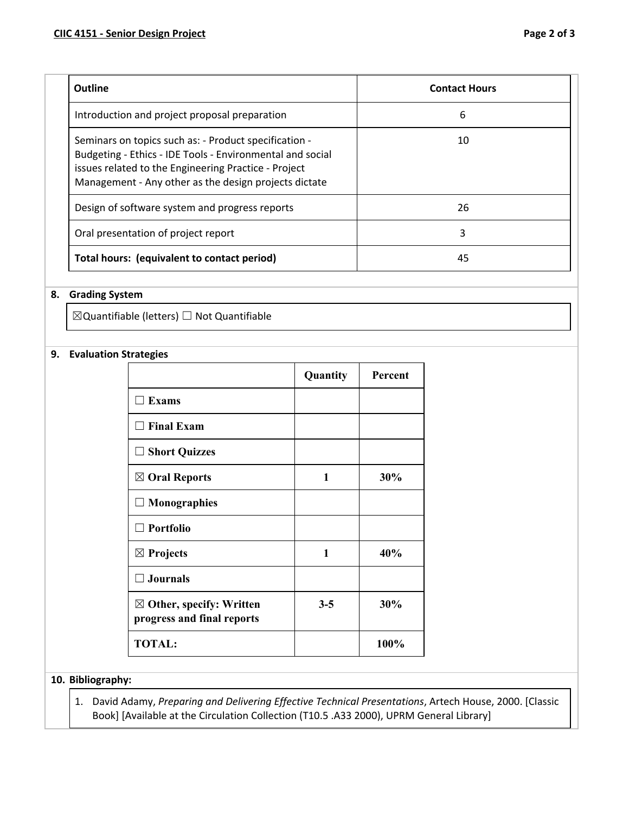| Outline                                                                                                                                                                                                                             | <b>Contact Hours</b> |
|-------------------------------------------------------------------------------------------------------------------------------------------------------------------------------------------------------------------------------------|----------------------|
| Introduction and project proposal preparation                                                                                                                                                                                       | 6                    |
| Seminars on topics such as: - Product specification -<br>Budgeting - Ethics - IDE Tools - Environmental and social<br>issues related to the Engineering Practice - Project<br>Management - Any other as the design projects dictate | 10                   |
| Design of software system and progress reports                                                                                                                                                                                      | 26                   |
| Oral presentation of project report                                                                                                                                                                                                 | 3                    |
| Total hours: (equivalent to contact period)                                                                                                                                                                                         | 45                   |

## **8. Grading System**

☒Quantifiable (letters) ☐ Not Quantifiable

## **9. Evaluation Strategies**

|                                                                   | Quantity | Percent |
|-------------------------------------------------------------------|----------|---------|
| <b>Exams</b>                                                      |          |         |
| $\Box$ Final Exam                                                 |          |         |
| $\square$ Short Quizzes                                           |          |         |
| $\boxtimes$ Oral Reports                                          | 1        | 30%     |
| $\Box$ Monographies                                               |          |         |
| $\Box$ Portfolio                                                  |          |         |
| $\boxtimes$ Projects                                              | 1        | 40%     |
| $\Box$ Journals                                                   |          |         |
| $\boxtimes$ Other, specify: Written<br>progress and final reports | $3 - 5$  | 30%     |
| <b>TOTAL:</b>                                                     |          | 100%    |

# **10. Bibliography:**

1. David Adamy, *Preparing and Delivering Effective Technical Presentations*, Artech House, 2000. [Classic Book] [Available at the Circulation Collection (T10.5 .A33 2000), UPRM General Library]